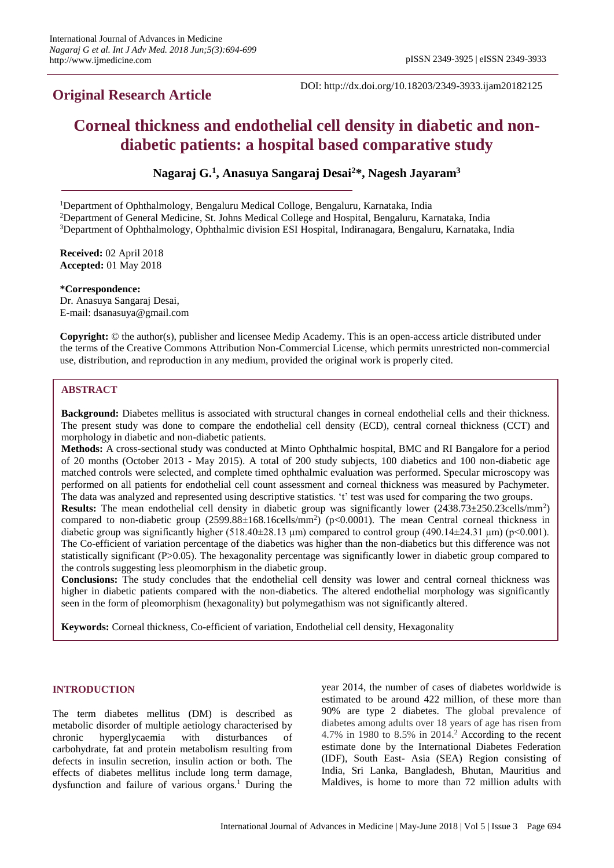# **Original Research Article**

DOI: http://dx.doi.org/10.18203/2349-3933.ijam20182125

# **Corneal thickness and endothelial cell density in diabetic and nondiabetic patients: a hospital based comparative study**

**Nagaraj G.<sup>1</sup> , Anasuya Sangaraj Desai<sup>2</sup>\*, Nagesh Jayaram<sup>3</sup>**

<sup>1</sup>Department of Ophthalmology, Bengaluru Medical Colloge, Bengaluru, Karnataka, India

<sup>2</sup>Department of General Medicine, St. Johns Medical College and Hospital, Bengaluru, Karnataka, India

<sup>3</sup>Department of Ophthalmology, Ophthalmic division ESI Hospital, Indiranagara, Bengaluru, Karnataka, India

**Received:** 02 April 2018 **Accepted:** 01 May 2018

#### **\*Correspondence:**

Dr. Anasuya Sangaraj Desai, E-mail: dsanasuya@gmail.com

**Copyright:** © the author(s), publisher and licensee Medip Academy. This is an open-access article distributed under the terms of the Creative Commons Attribution Non-Commercial License, which permits unrestricted non-commercial use, distribution, and reproduction in any medium, provided the original work is properly cited.

# **ABSTRACT**

**Background:** Diabetes mellitus is associated with structural changes in corneal endothelial cells and their thickness. The present study was done to compare the endothelial cell density (ECD), central corneal thickness (CCT) and morphology in diabetic and non-diabetic patients.

**Methods:** A cross-sectional study was conducted at Minto Ophthalmic hospital, BMC and RI Bangalore for a period of 20 months (October 2013 - May 2015). A total of 200 study subjects, 100 diabetics and 100 non-diabetic age matched controls were selected, and complete timed ophthalmic evaluation was performed. Specular microscopy was performed on all patients for endothelial cell count assessment and corneal thickness was measured by Pachymeter. The data was analyzed and represented using descriptive statistics. 't' test was used for comparing the two groups.

**Results:** The mean endothelial cell density in diabetic group was significantly lower (2438.73±250.23cells/mm<sup>2</sup>) compared to non-diabetic group (2599.88±168.16cells/mm<sup>2</sup>) (p<0.0001). The mean Central corneal thickness in diabetic group was significantly higher  $(518.40\pm28.13 \text{ µm})$  compared to control group  $(490.14\pm24.31 \text{ µm})$  (p<0.001). The Co-efficient of variation percentage of the diabetics was higher than the non-diabetics but this difference was not statistically significant (P>0.05). The hexagonality percentage was significantly lower in diabetic group compared to the controls suggesting less pleomorphism in the diabetic group.

**Conclusions:** The study concludes that the endothelial cell density was lower and central corneal thickness was higher in diabetic patients compared with the non-diabetics. The altered endothelial morphology was significantly seen in the form of pleomorphism (hexagonality) but polymegathism was not significantly altered.

**Keywords:** Corneal thickness, Co-efficient of variation, Endothelial cell density, Hexagonality

#### **INTRODUCTION**

The term diabetes mellitus (DM) is described as metabolic disorder of multiple aetiology characterised by chronic hyperglycaemia with disturbances of carbohydrate, fat and protein metabolism resulting from defects in insulin secretion, insulin action or both. The effects of diabetes mellitus include long term damage, dysfunction and failure of various organs.<sup>1</sup> During the year 2014, the number of cases of diabetes worldwide is estimated to be around 422 million, of these more than 90% are type 2 diabetes. The global prevalence of diabetes among adults over 18 years of age has risen from 4.7% in 1980 to 8.5% in 2014.<sup>2</sup> According to the recent estimate done by the International Diabetes Federation (IDF), South East- Asia (SEA) Region consisting of India, Sri Lanka, Bangladesh, Bhutan, Mauritius and Maldives, is home to more than 72 million adults with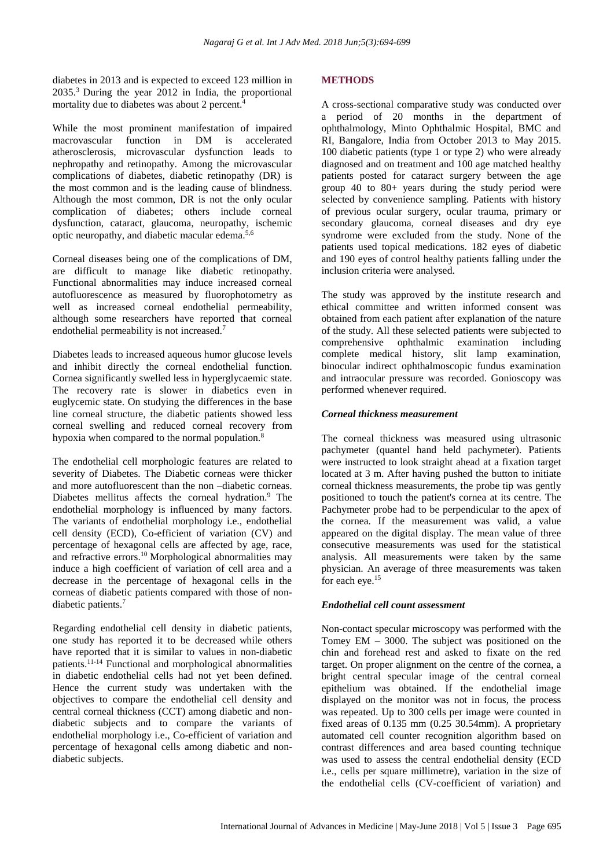diabetes in 2013 and is expected to exceed 123 million in 2035.<sup>3</sup> During the year 2012 in India, the proportional mortality due to diabetes was about 2 percent.<sup>4</sup>

While the most prominent manifestation of impaired macrovascular function in DM is accelerated atherosclerosis, microvascular dysfunction leads to nephropathy and retinopathy. Among the microvascular complications of diabetes, diabetic retinopathy (DR) is the most common and is the leading cause of blindness. Although the most common, DR is not the only ocular complication of diabetes; others include corneal dysfunction, cataract, glaucoma, neuropathy, ischemic optic neuropathy, and diabetic macular edema.5,6

Corneal diseases being one of the complications of DM, are difficult to manage like diabetic retinopathy. Functional abnormalities may induce increased corneal autofluorescence as measured by fluorophotometry as well as increased corneal endothelial permeability, although some researchers have reported that corneal endothelial permeability is not increased.<sup>7</sup>

Diabetes leads to increased aqueous humor glucose levels and inhibit directly the corneal endothelial function. Cornea significantly swelled less in hyperglycaemic state. The recovery rate is slower in diabetics even in euglycemic state. On studying the differences in the base line corneal structure, the diabetic patients showed less corneal swelling and reduced corneal recovery from hypoxia when compared to the normal population.<sup>8</sup>

The endothelial cell morphologic features are related to severity of Diabetes. The Diabetic corneas were thicker and more autofluorescent than the non –diabetic corneas. Diabetes mellitus affects the corneal hydration.<sup>9</sup> The endothelial morphology is influenced by many factors. The variants of endothelial morphology i.e., endothelial cell density (ECD), Co-efficient of variation (CV) and percentage of hexagonal cells are affected by age, race, and refractive errors.<sup>10</sup> Morphological abnormalities may induce a high coefficient of variation of cell area and a decrease in the percentage of hexagonal cells in the corneas of diabetic patients compared with those of nondiabetic patients.<sup>7</sup>

Regarding endothelial cell density in diabetic patients, one study has reported it to be decreased while others have reported that it is similar to values in non-diabetic patients.11-14 Functional and morphological abnormalities in diabetic endothelial cells had not yet been defined. Hence the current study was undertaken with the objectives to compare the endothelial cell density and central corneal thickness (CCT) among diabetic and nondiabetic subjects and to compare the variants of endothelial morphology i.e., Co-efficient of variation and percentage of hexagonal cells among diabetic and nondiabetic subjects.

# **METHODS**

A cross-sectional comparative study was conducted over a period of 20 months in the department of ophthalmology, Minto Ophthalmic Hospital, BMC and RI, Bangalore, India from October 2013 to May 2015. 100 diabetic patients (type 1 or type 2) who were already diagnosed and on treatment and 100 age matched healthy patients posted for cataract surgery between the age group 40 to 80+ years during the study period were selected by convenience sampling. Patients with history of previous ocular surgery, ocular trauma, primary or secondary glaucoma, corneal diseases and dry eye syndrome were excluded from the study. None of the patients used topical medications. 182 eyes of diabetic and 190 eyes of control healthy patients falling under the inclusion criteria were analysed.

The study was approved by the institute research and ethical committee and written informed consent was obtained from each patient after explanation of the nature of the study. All these selected patients were subjected to comprehensive ophthalmic examination including complete medical history, slit lamp examination, binocular indirect ophthalmoscopic fundus examination and intraocular pressure was recorded. Gonioscopy was performed whenever required.

# *Corneal thickness measurement*

The corneal thickness was measured using ultrasonic pachymeter (quantel hand held pachymeter). Patients were instructed to look straight ahead at a fixation target located at 3 m. After having pushed the button to initiate corneal thickness measurements, the probe tip was gently positioned to touch the patient's cornea at its centre. The Pachymeter probe had to be perpendicular to the apex of the cornea. If the measurement was valid, a value appeared on the digital display. The mean value of three consecutive measurements was used for the statistical analysis. All measurements were taken by the same physician. An average of three measurements was taken for each eye.<sup>15</sup>

# *Endothelial cell count assessment*

Non-contact specular microscopy was performed with the Tomey EM – 3000. The subject was positioned on the chin and forehead rest and asked to fixate on the red target. On proper alignment on the centre of the cornea, a bright central specular image of the central corneal epithelium was obtained. If the endothelial image displayed on the monitor was not in focus, the process was repeated. Up to 300 cells per image were counted in fixed areas of 0.135 mm (0.25 30.54mm). A proprietary automated cell counter recognition algorithm based on contrast differences and area based counting technique was used to assess the central endothelial density (ECD i.e., cells per square millimetre), variation in the size of the endothelial cells (CV-coefficient of variation) and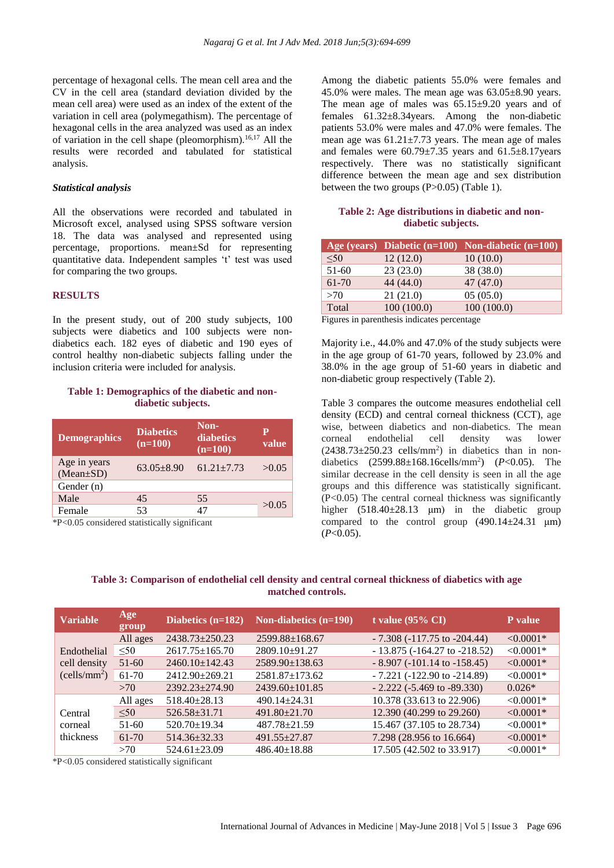percentage of hexagonal cells. The mean cell area and the CV in the cell area (standard deviation divided by the mean cell area) were used as an index of the extent of the variation in cell area (polymegathism). The percentage of hexagonal cells in the area analyzed was used as an index of variation in the cell shape (pleomorphism).16,17 All the results were recorded and tabulated for statistical analysis.

#### *Statistical analysis*

All the observations were recorded and tabulated in Microsoft excel, analysed using SPSS software version 18. The data was analysed and represented using percentage, proportions. mean±Sd for representing quantitative data. Independent samples 't' test was used for comparing the two groups.

#### **RESULTS**

In the present study, out of 200 study subjects, 100 subjects were diabetics and 100 subjects were nondiabetics each. 182 eyes of diabetic and 190 eyes of control healthy non-diabetic subjects falling under the inclusion criteria were included for analysis.

# **Table 1: Demographics of the diabetic and nondiabetic subjects.**

| <b>Demographics</b>             | <b>Diabetics</b><br>$(n=100)$ | Non-<br>diabetics<br>$(n=100)$ | $\mathbf p$<br>value |
|---------------------------------|-------------------------------|--------------------------------|----------------------|
| Age in years<br>$(Mean \pm SD)$ | $63.05 \pm 8.90$              | $61.21 + 7.73$                 | >0.05                |
| Gender (n)                      |                               |                                |                      |
| Male                            | 45                            | 55                             | >0.05                |
| Female                          | 53                            | 47                             |                      |

\*P<0.05 considered statistically significant

Among the diabetic patients 55.0% were females and 45.0% were males. The mean age was 63.05±8.90 years. The mean age of males was 65.15±9.20 years and of females 61.32±8.34years. Among the non-diabetic patients 53.0% were males and 47.0% were females. The mean age was  $61.21 \pm 7.73$  years. The mean age of males and females were 60.79±7.35 years and 61.5±8.17years respectively. There was no statistically significant difference between the mean age and sex distribution between the two groups (P>0.05) (Table 1).

### **Table 2: Age distributions in diabetic and nondiabetic subjects.**

|           |            | Age (years) Diabetic $(n=100)$ Non-diabetic $(n=100)$ |
|-----------|------------|-------------------------------------------------------|
| < 50      | 12(12.0)   | 10(10.0)                                              |
| $51-60$   | 23(23.0)   | 38 (38.0)                                             |
| $61 - 70$ | 44(44.0)   | 47(47.0)                                              |
| >70       | 21(21.0)   | 05(05.0)                                              |
| Total     | 100(100.0) | 100(100.0)                                            |

Figures in parenthesis indicates percentage

Majority i.e., 44.0% and 47.0% of the study subjects were in the age group of 61-70 years, followed by 23.0% and 38.0% in the age group of 51-60 years in diabetic and non-diabetic group respectively (Table 2).

Table 3 compares the outcome measures endothelial cell density (ECD) and central corneal thickness (CCT), age wise, between diabetics and non-diabetics. The mean corneal endothelial cell density was lower  $(2438.73 \pm 250.23$  cells/mm<sup>2</sup>) in diabetics than in nondiabetics (2599.88±168.16cells/mm<sup>2</sup> ) (*P*<0.05). The similar decrease in the cell density is seen in all the age groups and this difference was statistically significant. (P<0.05) The central corneal thickness was significantly higher (518.40±28.13 μm) in the diabetic group compared to the control group (490.14±24.31 μm)  $(P<0.05)$ .

**Table 3: Comparison of endothelial cell density and central corneal thickness of diabetics with age matched controls.**

| <b>Variable</b>          | Age<br>group | Diabetics $(n=182)$  | Non-diabetics (n=190) | t value $(95\% \text{ CI})$         | P value     |
|--------------------------|--------------|----------------------|-----------------------|-------------------------------------|-------------|
|                          | All ages     | $2438.73 \pm 250.23$ | $2599.88 \pm 168.67$  | $-7.308(-117.75)$ to $-204.44$ )    | $< 0.0001*$ |
| Endothelial              | $\leq 50$    | $2617.75 \pm 165.70$ | 2809.10±91.27         | $-13.875 (-164.27$ to $-218.52)$    | $< 0.0001*$ |
| cell density             | $51-60$      | $2460.10 \pm 142.43$ | $2589.90 \pm 138.63$  | $-8.907 (-101.14$ to $-158.45)$     | $< 0.0001*$ |
| (cells/mm <sup>2</sup> ) | 61-70        | 2412.90±269.21       | $2581.87 \pm 173.62$  | $-7.221$ ( $-122.90$ to $-214.89$ ) | $< 0.0001*$ |
|                          | >70          | $2392.23 + 274.90$   | $2439.60 \pm 101.85$  | $-2.222$ ( $-5.469$ to $-89.330$ )  | $0.026*$    |
|                          | All ages     | $518.40 \pm 28.13$   | $490.14 \pm 24.31$    | 10.378 (33.613 to 22.906)           | $< 0.0001*$ |
| Central                  | < 50         | $526.58 \pm 31.71$   | $491.80 \pm 21.70$    | 12.390 (40.299 to 29.260)           | $< 0.0001*$ |
| corneal                  | 51-60        | $520.70 \pm 19.34$   | $487.78 \pm 21.59$    | 15.467 (37.105 to 28.734)           | $< 0.0001*$ |
| thickness                | $61-70$      | $514.36 \pm 32.33$   | $491.55 \pm 27.87$    | 7.298 (28.956 to 16.664)            | $< 0.0001*$ |
|                          | >70          | $524.61 + 23.09$     | $486.40 \pm 18.88$    | 17.505 (42.502 to 33.917)           | $< 0.0001*$ |

\*P<0.05 considered statistically significant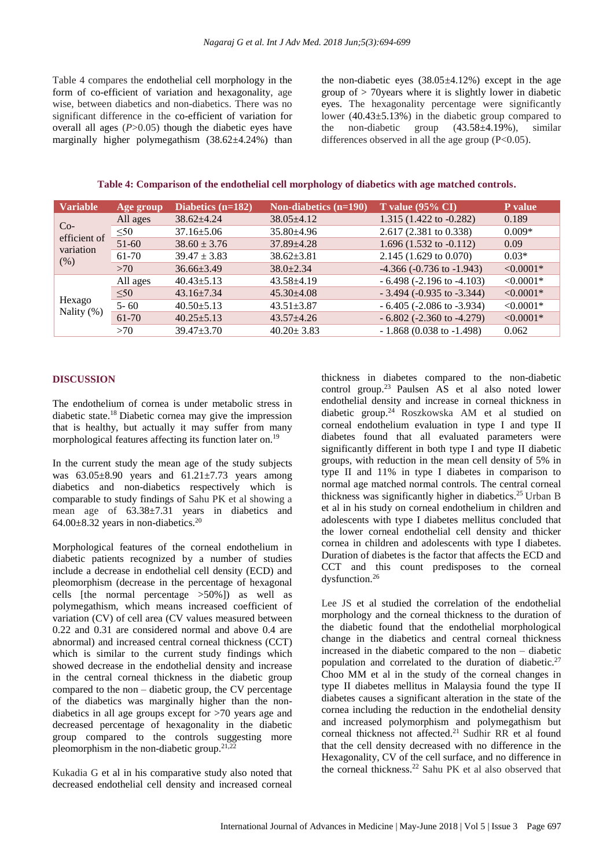Table 4 compares the endothelial cell morphology in the form of co-efficient of variation and hexagonality, age wise, between diabetics and non-diabetics. There was no significant difference in the co-efficient of variation for overall all ages (*P*>0.05) though the diabetic eyes have marginally higher polymegathism  $(38.62 \pm 4.24\%)$  than the non-diabetic eyes  $(38.05\pm4.12\%)$  except in the age group of > 70years where it is slightly lower in diabetic eyes. The hexagonality percentage were significantly lower (40.43±5.13%) in the diabetic group compared to the non-diabetic group (43.58±4.19%), similar differences observed in all the age group  $(P<0.05)$ .

**Table 4: Comparison of the endothelial cell morphology of diabetics with age matched controls.**

| <b>Variable</b>           | Age group | Diabetics $(n=182)$ | Non-diabetics $(n=190)$ | T value $(95\% \text{ CI})$       | P value     |
|---------------------------|-----------|---------------------|-------------------------|-----------------------------------|-------------|
| $Co-$                     | All ages  | $38.62 \pm 4.24$    | $38.05 \pm 4.12$        | 1.315 (1.422 to -0.282)           | 0.189       |
|                           | $\leq 50$ | $37.16 \pm 5.06$    | $35.80\pm4.96$          | 2.617 (2.381 to 0.338)            | $0.009*$    |
| efficient of<br>variation | $51-60$   | $38.60 \pm 3.76$    | $37.89 \pm 4.28$        | 1.696 (1.532 to $-0.112$ )        | 0.09        |
| (% )                      | 61-70     | $39.47 \pm 3.83$    | $38.62 \pm 3.81$        | 2.145 (1.629 to 0.070)            | $0.03*$     |
|                           | >70       | $36.66\pm3.49$      | $38.0 \pm 2.34$         | $-4.366$ ( $-0.736$ to $-1.943$ ) | $< 0.0001*$ |
| Hexago<br>Nality $(\%)$   | All ages  | $40.43 \pm 5.13$    | 43.58±4.19              | $-6.498$ ( $-2.196$ to $-4.103$ ) | $< 0.0001*$ |
|                           | < 50      | $43.16 \pm 7.34$    | $45.30 \pm 4.08$        | $-3.494$ ( $-0.935$ to $-3.344$ ) | $< 0.0001*$ |
|                           | $5 - 60$  | $40.50 \pm 5.13$    | $43.51 \pm 3.87$        | $-6.405$ ( $-2.086$ to $-3.934$ ) | $< 0.0001*$ |
|                           | 61-70     | $40.25 \pm 5.13$    | $43.57 \pm 4.26$        | $-6.802$ ( $-2.360$ to $-4.279$ ) | $< 0.0001*$ |
|                           | >70       | $39.47 \pm 3.70$    | $40.20 \pm 3.83$        | $-1.868$ (0.038 to $-1.498$ )     | 0.062       |

# **DISCUSSION**

The endothelium of cornea is under metabolic stress in diabetic state.<sup>18</sup> Diabetic cornea may give the impression that is healthy, but actually it may suffer from many morphological features affecting its function later on.<sup>19</sup>

In the current study the mean age of the study subjects was  $63.05\pm8.90$  years and  $61.21\pm7.73$  years among diabetics and non-diabetics respectively which is comparable to study findings of Sahu PK et al showing a mean age of 63.38±7.31 years in diabetics and 64.00 $\pm$ 8.32 years in non-diabetics.<sup>20</sup>

Morphological features of the corneal endothelium in diabetic patients recognized by a number of studies include a decrease in endothelial cell density (ECD) and pleomorphism (decrease in the percentage of hexagonal cells [the normal percentage  $>50\%$ ]) as well as polymegathism, which means increased coefficient of variation (CV) of cell area (CV values measured between 0.22 and 0.31 are considered normal and above 0.4 are abnormal) and increased central corneal thickness (CCT) which is similar to the current study findings which showed decrease in the endothelial density and increase in the central corneal thickness in the diabetic group compared to the non – diabetic group, the CV percentage of the diabetics was marginally higher than the nondiabetics in all age groups except for >70 years age and decreased percentage of hexagonality in the diabetic group compared to the controls suggesting more pleomorphism in the non-diabetic group.21,22

Kukadia G et al in his comparative study also noted that decreased endothelial cell density and increased corneal thickness in diabetes compared to the non-diabetic control group.<sup>23</sup> Paulsen AS et al also noted lower endothelial density and increase in corneal thickness in diabetic group.<sup>24</sup> Roszkowska AM et al studied on corneal endothelium evaluation in type I and type II diabetes found that all evaluated parameters were significantly different in both type I and type II diabetic groups, with reduction in the mean cell density of 5% in type II and 11% in type I diabetes in comparison to normal age matched normal controls. The central corneal thickness was significantly higher in diabetics.<sup>25</sup> Urban B et al in his study on corneal endothelium in children and adolescents with type I diabetes mellitus concluded that the lower corneal endothelial cell density and thicker cornea in children and adolescents with type I diabetes. Duration of diabetes is the factor that affects the ECD and CCT and this count predisposes to the corneal dysfunction.<sup>26</sup>

Lee JS et al studied the correlation of the endothelial morphology and the corneal thickness to the duration of the diabetic found that the endothelial morphological change in the diabetics and central corneal thickness increased in the diabetic compared to the non – diabetic population and correlated to the duration of diabetic.<sup>27</sup> Choo MM et al in the study of the corneal changes in type II diabetes mellitus in Malaysia found the type II diabetes causes a significant alteration in the state of the cornea including the reduction in the endothelial density and increased polymorphism and polymegathism but corneal thickness not affected.<sup>21</sup> Sudhir RR et al found that the cell density decreased with no difference in the Hexagonality, CV of the cell surface, and no difference in the corneal thickness.<sup>22</sup> Sahu PK et al also observed that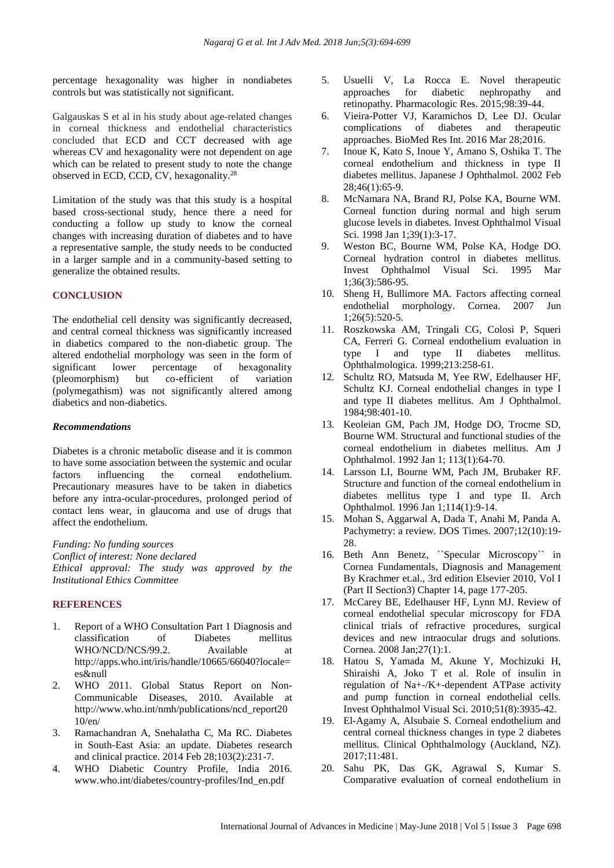percentage hexagonality was higher in nondiabetes controls but was statistically not significant.

Galgauskas S et al in his study about age-related changes in corneal thickness and endothelial characteristics concluded that ECD and CCT decreased with age whereas CV and hexagonality were not dependent on age which can be related to present study to note the change observed in ECD, CCD, CV, hexagonality.<sup>28</sup>

Limitation of the study was that this study is a hospital based cross-sectional study, hence there a need for conducting a follow up study to know the corneal changes with increasing duration of diabetes and to have a representative sample, the study needs to be conducted in a larger sample and in a community-based setting to generalize the obtained results.

# **CONCLUSION**

The endothelial cell density was significantly decreased, and central corneal thickness was significantly increased in diabetics compared to the non-diabetic group. The altered endothelial morphology was seen in the form of significant lower percentage of hexagonality (pleomorphism) but co-efficient of variation (polymegathism) was not significantly altered among diabetics and non-diabetics.

#### *Recommendations*

Diabetes is a chronic metabolic disease and it is common to have some association between the systemic and ocular factors influencing the corneal endothelium. Precautionary measures have to be taken in diabetics before any intra-ocular-procedures, prolonged period of contact lens wear, in glaucoma and use of drugs that affect the endothelium.

*Funding: No funding sources Conflict of interest: None declared Ethical approval: The study was approved by the Institutional Ethics Committee*

#### **REFERENCES**

- 1. Report of a WHO Consultation Part 1 Diagnosis and classification of Diabetes mellitus WHO/NCD/NCS/99.2. Available at http://apps.who.int/iris/handle/10665/66040?locale= es&null
- 2. WHO 2011. Global Status Report on Non-Communicable Diseases, 2010. Available at http://www.who.int/nmh/publications/ncd\_report20 10/en/
- 3. Ramachandran A, Snehalatha C, Ma RC. Diabetes in South-East Asia: an update. Diabetes research and clinical practice. 2014 Feb 28;103(2):231-7.
- 4. WHO Diabetic Country Profile, India 2016. www.who.int/diabetes/country-profiles/Ind\_en.pdf
- 5. Usuelli V, La Rocca E. Novel therapeutic approaches for diabetic nephropathy and retinopathy. Pharmacologic Res. 2015;98:39-44.
- 6. Vieira-Potter VJ, Karamichos D, Lee DJ. Ocular complications of diabetes and therapeutic approaches. BioMed Res Int. 2016 Mar 28;2016.
- 7. Inoue K, Kato S, Inoue Y, Amano S, Oshika T. The corneal endothelium and thickness in type II diabetes mellitus. Japanese J Ophthalmol. 2002 Feb 28;46(1):65-9.
- 8. McNamara NA, Brand RJ, Polse KA, Bourne WM. Corneal function during normal and high serum glucose levels in diabetes. Invest Ophthalmol Visual Sci. 1998 Jan 1;39(1):3-17.
- 9. Weston BC, Bourne WM, Polse KA, Hodge DO. Corneal hydration control in diabetes mellitus. Invest Ophthalmol Visual Sci. 1995 Mar 1;36(3):586-95.
- 10. Sheng H, Bullimore MA. Factors affecting corneal endothelial morphology. Cornea. 2007 Jun 1;26(5):520-5.
- 11. Roszkowska AM, Tringali CG, Colosi P, Squeri CA, Ferreri G. Corneal endothelium evaluation in type I and type II diabetes mellitus. Ophthalmologica. 1999;213:258-61.
- 12. Schultz RO, Matsuda M, Yee RW, Edelhauser HF, Schultz KJ. Corneal endothelial changes in type I and type II diabetes mellitus. Am J Ophthalmol. 1984;98:401-10.
- 13. Keoleian GM, Pach JM, Hodge DO, Trocme SD, Bourne WM. Structural and functional studies of the corneal endothelium in diabetes mellitus. Am J Ophthalmol. 1992 Jan 1; 113(1):64-70.
- 14. Larsson LI, Bourne WM, Pach JM, Brubaker RF. Structure and function of the corneal endothelium in diabetes mellitus type I and type II. Arch Ophthalmol. 1996 Jan 1;114(1):9-14.
- 15. Mohan S, Aggarwal A, Dada T, Anahi M, Panda A. Pachymetry: a review. DOS Times. 2007;12(10):19- 28.
- 16. Beth Ann Benetz, ``Specular Microscopy`` in Cornea Fundamentals, Diagnosis and Management By Krachmer et.al., 3rd edition Elsevier 2010, Vol I (Part II Section3) Chapter 14, page 177-205.
- 17. McCarey BE, Edelhauser HF, Lynn MJ. Review of corneal endothelial specular microscopy for FDA clinical trials of refractive procedures, surgical devices and new intraocular drugs and solutions. Cornea. 2008 Jan;27(1):1.
- 18. Hatou S, Yamada M, Akune Y, Mochizuki H, Shiraishi A, Joko T et al. Role of insulin in regulation of Na+-/K+-dependent ATPase activity and pump function in corneal endothelial cells. Invest Ophthalmol Visual Sci. 2010;51(8):3935-42.
- 19. El-Agamy A, Alsubaie S. Corneal endothelium and central corneal thickness changes in type 2 diabetes mellitus. Clinical Ophthalmology (Auckland, NZ). 2017;11:481.
- 20. Sahu PK, Das GK, Agrawal S, Kumar S. Comparative evaluation of corneal endothelium in